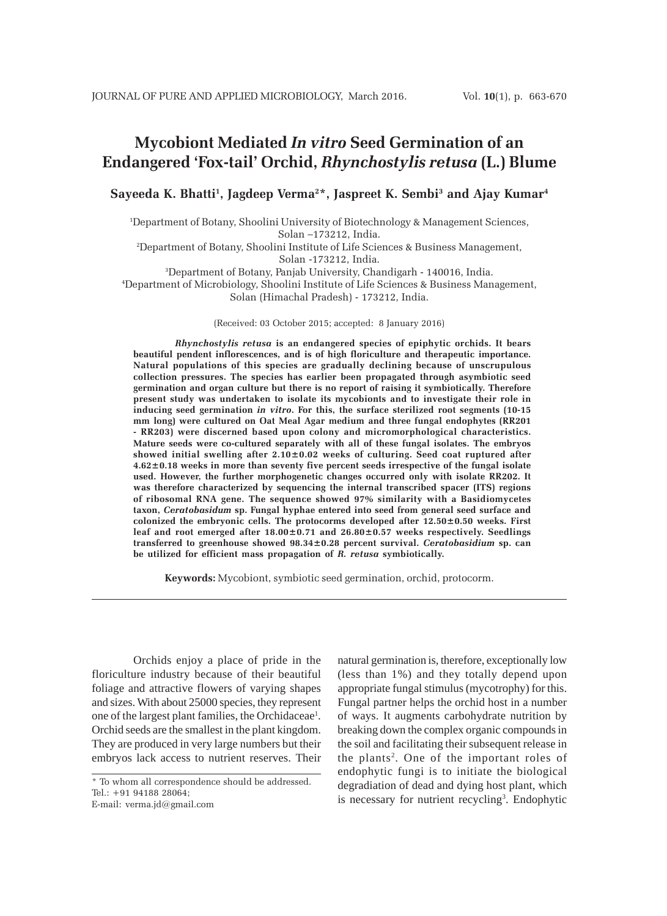# **Mycobiont Mediated** *In vitro* **Seed Germination of an Endangered 'Fox-tail' Orchid,** *Rhynchostylis retusa* **(L.) Blume**

**Sayeeda K. Bhatti1 , Jagdeep Verma2 \*, Jaspreet K. Sembi3 and Ajay Kumar4**

1 Department of Botany, Shoolini University of Biotechnology & Management Sciences, Solan –173212, India.

2 Department of Botany, Shoolini Institute of Life Sciences & Business Management, Solan -173212, India.

3 Department of Botany, Panjab University, Chandigarh - 140016, India.

4 Department of Microbiology, Shoolini Institute of Life Sciences & Business Management, Solan (Himachal Pradesh) - 173212, India.

(Received: 03 October 2015; accepted: 8 January 2016)

*Rhynchostylis retusa* **is an endangered species of epiphytic orchids. It bears beautiful pendent inflorescences, and is of high floriculture and therapeutic importance. Natural populations of this species are gradually declining because of unscrupulous collection pressures. The species has earlier been propagated through asymbiotic seed germination and organ culture but there is no report of raising it symbiotically. Therefore present study was undertaken to isolate its mycobionts and to investigate their role in inducing seed germination** *in vitro***. For this, the surface sterilized root segments (10-15 mm long) were cultured on Oat Meal Agar medium and three fungal endophytes (RR201 - RR203) were discerned based upon colony and micromorphological characteristics. Mature seeds were co-cultured separately with all of these fungal isolates. The embryos showed initial swelling after 2.10±0.02 weeks of culturing. Seed coat ruptured after 4.62±0.18 weeks in more than seventy five percent seeds irrespective of the fungal isolate used. However, the further morphogenetic changes occurred only with isolate RR202. It was therefore characterized by sequencing the internal transcribed spacer (ITS) regions of ribosomal RNA gene. The sequence showed 97% similarity with a Basidiomycetes taxon,** *Ceratobasidum* **sp. Fungal hyphae entered into seed from general seed surface and colonized the embryonic cells. The protocorms developed after 12.50±0.50 weeks. First leaf and root emerged after 18.00±0.71 and 26.80±0.57 weeks respectively. Seedlings transferred to greenhouse showed 98.34±0.28 percent survival.** *Ceratobasidium* **sp. can be utilized for efficient mass propagation of** *R. retusa* **symbiotically.**

**Keywords:** Mycobiont, symbiotic seed germination, orchid, protocorm.

Orchids enjoy a place of pride in the floriculture industry because of their beautiful foliage and attractive flowers of varying shapes and sizes. With about 25000 species, they represent one of the largest plant families, the Orchidaceae<sup>1</sup>. Orchid seeds are the smallest in the plant kingdom. They are produced in very large numbers but their embryos lack access to nutrient reserves. Their

E-mail: verma.jd@gmail.com

natural germination is, therefore, exceptionally low (less than 1%) and they totally depend upon appropriate fungal stimulus (mycotrophy) for this. Fungal partner helps the orchid host in a number of ways. It augments carbohydrate nutrition by breaking down the complex organic compounds in the soil and facilitating their subsequent release in the plants<sup>2</sup>. One of the important roles of endophytic fungi is to initiate the biological degradiation of dead and dying host plant, which is necessary for nutrient recycling<sup>3</sup>. Endophytic

<sup>\*</sup> To whom all correspondence should be addressed. Tel.: +91 94188 28064;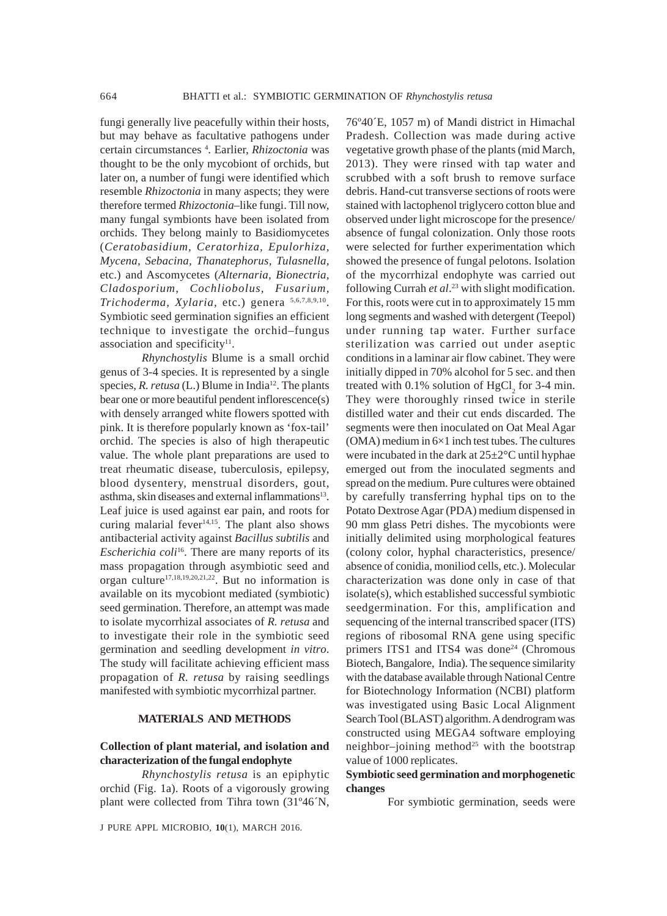fungi generally live peacefully within their hosts, but may behave as facultative pathogens under certain circumstances 4 . Earlier, *Rhizoctonia* was thought to be the only mycobiont of orchids, but later on, a number of fungi were identified which resemble *Rhizoctonia* in many aspects; they were therefore termed *Rhizoctonia*–like fungi. Till now, many fungal symbionts have been isolated from orchids. They belong mainly to Basidiomycetes (*Ceratobasidium, Ceratorhiza, Epulorhiza, Mycena, Sebacina, Thanatephorus, Tulasnella,* etc.) and Ascomycetes (*Alternaria, Bionectria, Cladosporium, Cochliobolus, Fusarium, Trichoderma, Xylaria,* etc.) genera 5,6,7,8,9,10. Symbiotic seed germination signifies an efficient technique to investigate the orchid–fungus association and specificity<sup>11</sup>.

*Rhynchostylis* Blume is a small orchid genus of 3-4 species. It is represented by a single species, *R. retusa* (L.) Blume in India<sup>12</sup>. The plants bear one or more beautiful pendent inflorescence(s) with densely arranged white flowers spotted with pink. It is therefore popularly known as 'fox-tail' orchid. The species is also of high therapeutic value. The whole plant preparations are used to treat rheumatic disease, tuberculosis, epilepsy, blood dysentery, menstrual disorders, gout, asthma, skin diseases and external inflammations<sup>13</sup>. Leaf juice is used against ear pain, and roots for curing malarial fever $14,15$ . The plant also shows antibacterial activity against *Bacillus subtilis* and *Escherichia coli*<sup>16</sup>. There are many reports of its mass propagation through asymbiotic seed and organ culture17,18,19,20,21,22. But no information is available on its mycobiont mediated (symbiotic) seed germination. Therefore, an attempt was made to isolate mycorrhizal associates of *R. retusa* and to investigate their role in the symbiotic seed germination and seedling development *in vitro*. The study will facilitate achieving efficient mass propagation of *R. retusa* by raising seedlings manifested with symbiotic mycorrhizal partner.

## **MATERIALS AND METHODS**

# **Collection of plant material, and isolation and characterization of the fungal endophyte**

*Rhynchostylis retusa* is an epiphytic orchid (Fig. 1a). Roots of a vigorously growing plant were collected from Tihra town (31º46´N,

J PURE APPL MICROBIO*,* **10**(1), MARCH 2016.

76º40´E, 1057 m) of Mandi district in Himachal Pradesh. Collection was made during active vegetative growth phase of the plants (mid March, 2013). They were rinsed with tap water and scrubbed with a soft brush to remove surface debris. Hand-cut transverse sections of roots were stained with lactophenol triglycero cotton blue and observed under light microscope for the presence/ absence of fungal colonization. Only those roots were selected for further experimentation which showed the presence of fungal pelotons. Isolation of the mycorrhizal endophyte was carried out following Currah *et al*. 23 with slight modification. For this, roots were cut in to approximately 15 mm long segments and washed with detergent (Teepol) under running tap water. Further surface sterilization was carried out under aseptic conditions in a laminar air flow cabinet. They were initially dipped in 70% alcohol for 5 sec. and then treated with 0.1% solution of  $HgCl<sub>2</sub>$  for 3-4 min. They were thoroughly rinsed twice in sterile distilled water and their cut ends discarded. The segments were then inoculated on Oat Meal Agar  $(OMA)$  medium in  $6\times1$  inch test tubes. The cultures were incubated in the dark at  $25\pm2\degree C$  until hyphae emerged out from the inoculated segments and spread on the medium. Pure cultures were obtained by carefully transferring hyphal tips on to the Potato Dextrose Agar (PDA) medium dispensed in 90 mm glass Petri dishes. The mycobionts were initially delimited using morphological features (colony color, hyphal characteristics, presence/ absence of conidia, moniliod cells, etc.). Molecular characterization was done only in case of that isolate(s), which established successful symbiotic seedgermination. For this, amplification and sequencing of the internal transcribed spacer (ITS) regions of ribosomal RNA gene using specific primers ITS1 and ITS4 was done<sup>24</sup> (Chromous Biotech, Bangalore, India). The sequence similarity with the database available through National Centre for Biotechnology Information (NCBI) platform was investigated using Basic Local Alignment Search Tool (BLAST) algorithm. A dendrogram was constructed using MEGA4 software employing neighbor–joining method<sup>25</sup> with the bootstrap value of 1000 replicates.

# **Symbiotic seed germination and morphogenetic changes**

For symbiotic germination, seeds were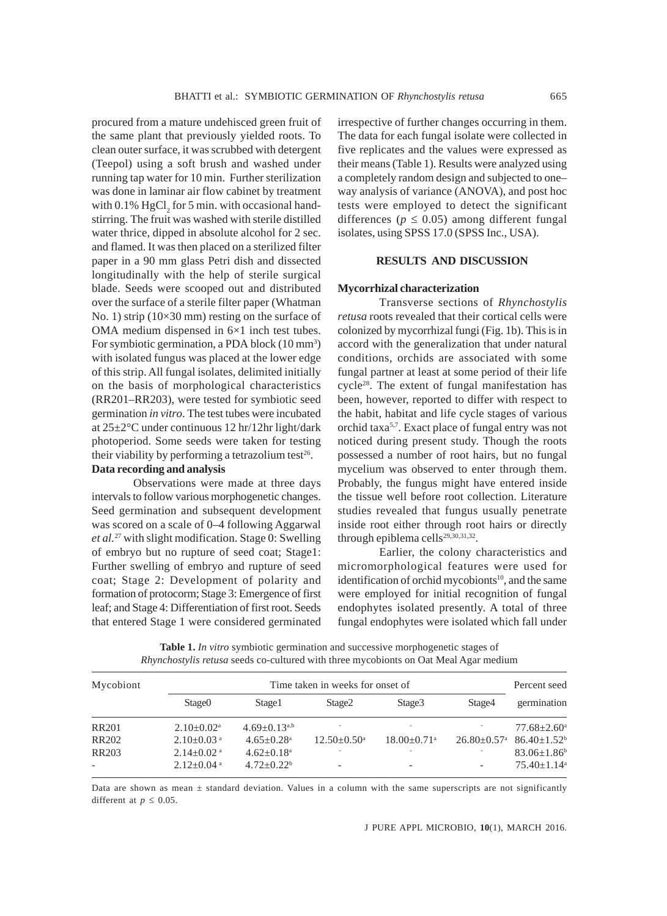procured from a mature undehisced green fruit of the same plant that previously yielded roots. To clean outer surface, it was scrubbed with detergent (Teepol) using a soft brush and washed under running tap water for 10 min. Further sterilization was done in laminar air flow cabinet by treatment with  $0.1\%$  HgCl<sub>2</sub> for 5 min. with occasional handstirring. The fruit was washed with sterile distilled water thrice, dipped in absolute alcohol for 2 sec. and flamed. It was then placed on a sterilized filter paper in a 90 mm glass Petri dish and dissected longitudinally with the help of sterile surgical blade. Seeds were scooped out and distributed over the surface of a sterile filter paper (Whatman No. 1) strip (10×30 mm) resting on the surface of OMA medium dispensed in 6×1 inch test tubes. For symbiotic germination, a PDA block (10 mm<sup>3</sup>) with isolated fungus was placed at the lower edge of this strip. All fungal isolates, delimited initially on the basis of morphological characteristics (RR201–RR203), were tested for symbiotic seed germination *in vitro*. The test tubes were incubated at 25±2°C under continuous 12 hr/12hr light/dark photoperiod. Some seeds were taken for testing their viability by performing a tetrazolium test<sup>26</sup>.

# **Data recording and analysis**

Observations were made at three days intervals to follow various morphogenetic changes. Seed germination and subsequent development was scored on a scale of 0–4 following Aggarwal *et al.*27 with slight modification. Stage 0: Swelling of embryo but no rupture of seed coat; Stage1: Further swelling of embryo and rupture of seed coat; Stage 2: Development of polarity and formation of protocorm; Stage 3: Emergence of first leaf; and Stage 4: Differentiation of first root. Seeds that entered Stage 1 were considered germinated irrespective of further changes occurring in them. The data for each fungal isolate were collected in five replicates and the values were expressed as their means (Table 1). Results were analyzed using a completely random design and subjected to one– way analysis of variance (ANOVA), and post hoc tests were employed to detect the significant differences ( $p \leq 0.05$ ) among different fungal isolates, using SPSS 17.0 (SPSS Inc., USA).

#### **RESULTS AND DISCUSSION**

#### **Mycorrhizal characterization**

Transverse sections of *Rhynchostylis retusa* roots revealed that their cortical cells were colonized by mycorrhizal fungi (Fig. 1b). This is in accord with the generalization that under natural conditions, orchids are associated with some fungal partner at least at some period of their life cycle<sup>28</sup>. The extent of fungal manifestation has been, however, reported to differ with respect to the habit, habitat and life cycle stages of various orchid taxa5,7. Exact place of fungal entry was not noticed during present study. Though the roots possessed a number of root hairs, but no fungal mycelium was observed to enter through them. Probably, the fungus might have entered inside the tissue well before root collection. Literature studies revealed that fungus usually penetrate inside root either through root hairs or directly through epiblema cells<sup>29,30,31,32</sup>.

Earlier, the colony characteristics and micromorphological features were used for identification of orchid mycobionts<sup>10</sup>, and the same were employed for initial recognition of fungal endophytes isolated presently. A total of three fungal endophytes were isolated which fall under

| Mycobiont                | Time taken in weeks for onset of |                            |                          |                           |                             | Percent seed                  |
|--------------------------|----------------------------------|----------------------------|--------------------------|---------------------------|-----------------------------|-------------------------------|
|                          | Stage <sub>0</sub>               | Stage1                     | Stage <sub>2</sub>       | Stage3                    | Stage4                      | germination                   |
| <b>RR201</b>             | $2.10+0.02^a$                    | $4.69+0.13^{a,b}$          |                          |                           |                             | $77.68 + 2.60^{\circ}$        |
| <b>RR202</b>             | $2.10\pm0.03$ <sup>a</sup>       | $4.65 + 0.28$ <sup>a</sup> | $12.50+0.50^{\circ}$     | $18.00+0.71$ <sup>a</sup> | $26.80 + 0.57$ <sup>a</sup> | $86.40+1.52b$                 |
| <b>RR203</b>             | $2.14+0.02$ <sup>a</sup>         | $4.62+0.18a$               |                          | ۰                         |                             | $83.06 \pm 1.86$ <sup>b</sup> |
| $\overline{\phantom{a}}$ | $2.12 \pm 0.04$ <sup>a</sup>     | $4.72 + 0.22^b$            | $\overline{\phantom{0}}$ |                           |                             | $75.40 + 1.14$ <sup>a</sup>   |

**Table 1.** *In vitro* symbiotic germination and successive morphogenetic stages of *Rhynchostylis retusa* seeds co-cultured with three mycobionts on Oat Meal Agar medium

Data are shown as mean  $\pm$  standard deviation. Values in a column with the same superscripts are not significantly different at  $p \leq 0.05$ .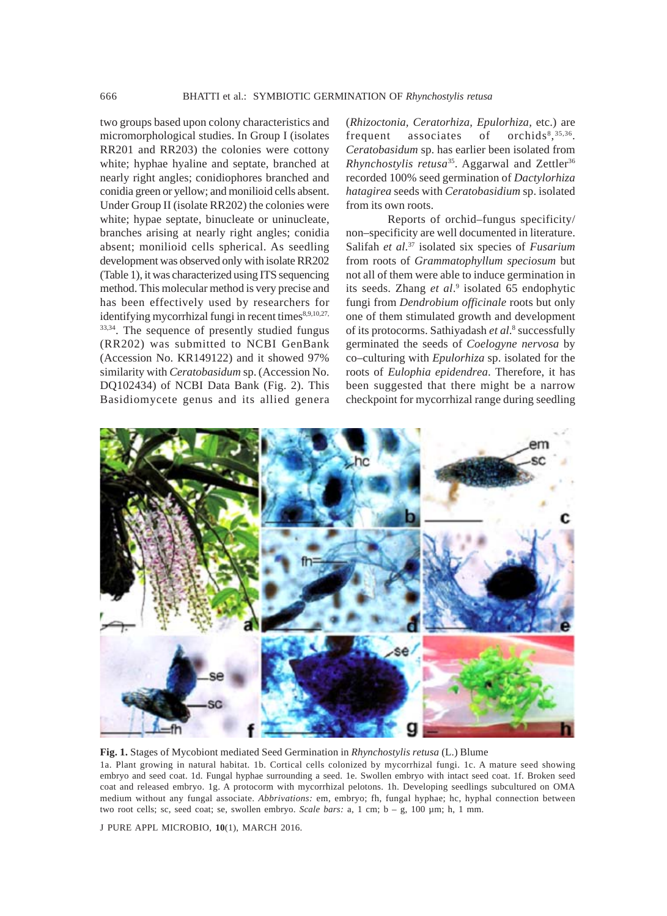two groups based upon colony characteristics and micromorphological studies. In Group I (isolates RR201 and RR203) the colonies were cottony white; hyphae hyaline and septate, branched at nearly right angles; conidiophores branched and conidia green or yellow; and monilioid cells absent. Under Group II (isolate RR202) the colonies were white; hypae septate, binucleate or uninucleate, branches arising at nearly right angles; conidia absent; monilioid cells spherical. As seedling development was observed only with isolate RR202 (Table 1), it was characterized using ITS sequencing method. This molecular method is very precise and has been effectively used by researchers for identifying mycorrhizal fungi in recent times<sup>8,9,10,27,</sup> 33,34. The sequence of presently studied fungus (RR202) was submitted to NCBI GenBank (Accession No. KR149122) and it showed 97% similarity with *Ceratobasidum* sp. (Accession No. DQ102434) of NCBI Data Bank (Fig. 2). This Basidiomycete genus and its allied genera

(*Rhizoctonia, Ceratorhiza, Epulorhiza,* etc.) are frequent associates of , 35,36. *Ceratobasidum* sp. has earlier been isolated from *Rhynchostylis retusa*<sup>35</sup>. Aggarwal and Zettler<sup>36</sup> recorded 100% seed germination of *Dactylorhiza hatagirea* seeds with *Ceratobasidium* sp. isolated from its own roots.

Reports of orchid–fungus specificity/ non–specificity are well documented in literature. Salifah *et al*. 37 isolated six species of *Fusarium* from roots of *Grammatophyllum speciosum* but not all of them were able to induce germination in its seeds. Zhang *et al.*<sup>9</sup> isolated 65 endophytic fungi from *Dendrobium officinale* roots but only one of them stimulated growth and development of its protocorms. Sathiyadash et al.<sup>8</sup> successfully germinated the seeds of *Coelogyne nervosa* by co–culturing with *Epulorhiza* sp. isolated for the roots of *Eulophia epidendrea*. Therefore, it has been suggested that there might be a narrow checkpoint for mycorrhizal range during seedling



**Fig. 1.** Stages of Mycobiont mediated Seed Germination in *Rhynchostylis retusa* (L.) Blume

1a. Plant growing in natural habitat. 1b. Cortical cells colonized by mycorrhizal fungi. 1c. A mature seed showing embryo and seed coat. 1d. Fungal hyphae surrounding a seed. 1e. Swollen embryo with intact seed coat. 1f. Broken seed coat and released embryo. 1g. A protocorm with mycorrhizal pelotons. 1h. Developing seedlings subcultured on OMA medium without any fungal associate. *Abbrivations:* em, embryo; fh, fungal hyphae; hc, hyphal connection between two root cells; sc, seed coat; se, swollen embryo. *Scale bars:* a, 1 cm; b – g, 100 µm; h, 1 mm.

J PURE APPL MICROBIO*,* **10**(1), MARCH 2016.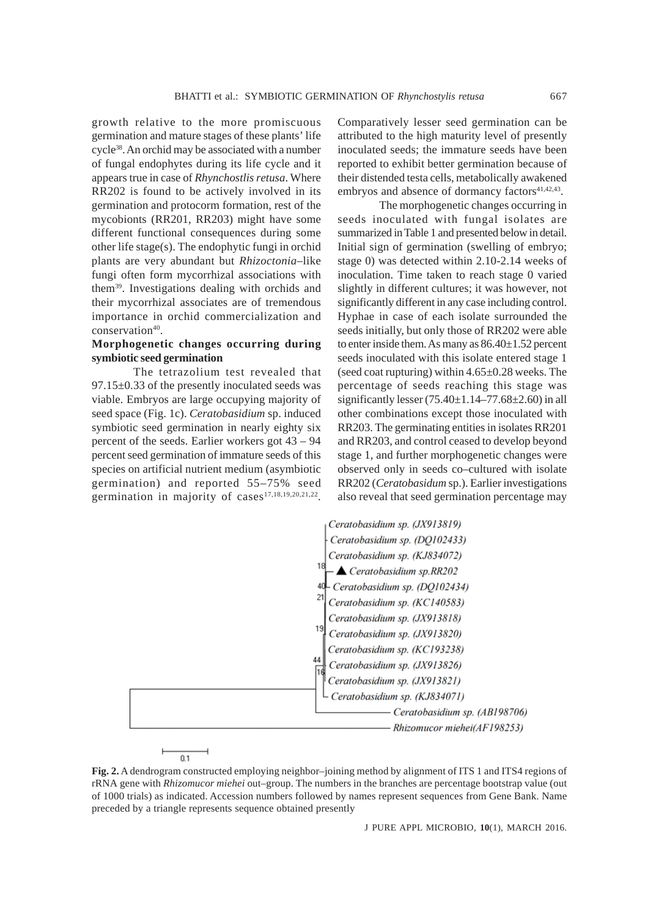growth relative to the more promiscuous germination and mature stages of these plants' life cycle38. An orchid may be associated with a number of fungal endophytes during its life cycle and it appears true in case of *Rhynchostlis retusa*. Where RR202 is found to be actively involved in its germination and protocorm formation, rest of the mycobionts (RR201, RR203) might have some different functional consequences during some other life stage(s). The endophytic fungi in orchid plants are very abundant but *Rhizoctonia*–like fungi often form mycorrhizal associations with them39. Investigations dealing with orchids and their mycorrhizal associates are of tremendous importance in orchid commercialization and conservation<sup>40</sup>.

# **Morphogenetic changes occurring during symbiotic seed germination**

The tetrazolium test revealed that 97.15±0.33 of the presently inoculated seeds was viable. Embryos are large occupying majority of seed space (Fig. 1c). *Ceratobasidium* sp. induced symbiotic seed germination in nearly eighty six percent of the seeds. Earlier workers got 43 – 94 percent seed germination of immature seeds of this species on artificial nutrient medium (asymbiotic germination) and reported 55–75% seed germination in majority of cases<sup>17,18,19,20,21,22</sup>.

 $0.1$ 

Comparatively lesser seed germination can be attributed to the high maturity level of presently inoculated seeds; the immature seeds have been reported to exhibit better germination because of their distended testa cells, metabolically awakened embryos and absence of dormancy factors<sup>41,42,43</sup>.

The morphogenetic changes occurring in seeds inoculated with fungal isolates are summarized in Table 1 and presented below in detail. Initial sign of germination (swelling of embryo; stage 0) was detected within 2.10-2.14 weeks of inoculation. Time taken to reach stage 0 varied slightly in different cultures; it was however, not significantly different in any case including control. Hyphae in case of each isolate surrounded the seeds initially, but only those of RR202 were able to enter inside them. As many as  $86.40 \pm 1.52$  percent seeds inoculated with this isolate entered stage 1 (seed coat rupturing) within  $4.65 \pm 0.28$  weeks. The percentage of seeds reaching this stage was significantly lesser  $(75.40 \pm 1.14 - 77.68 \pm 2.60)$  in all other combinations except those inoculated with RR203. The germinating entities in isolates RR201 and RR203, and control ceased to develop beyond stage 1, and further morphogenetic changes were observed only in seeds co–cultured with isolate RR202 (*Ceratobasidum* sp.). Earlier investigations also reveal that seed germination percentage may



**Fig. 2.** A dendrogram constructed employing neighbor–joining method by alignment of ITS 1 and ITS4 regions of rRNA gene with *Rhizomucor miehei* out–group. The numbers in the branches are percentage bootstrap value (out of 1000 trials) as indicated. Accession numbers followed by names represent sequences from Gene Bank. Name preceded by a triangle represents sequence obtained presently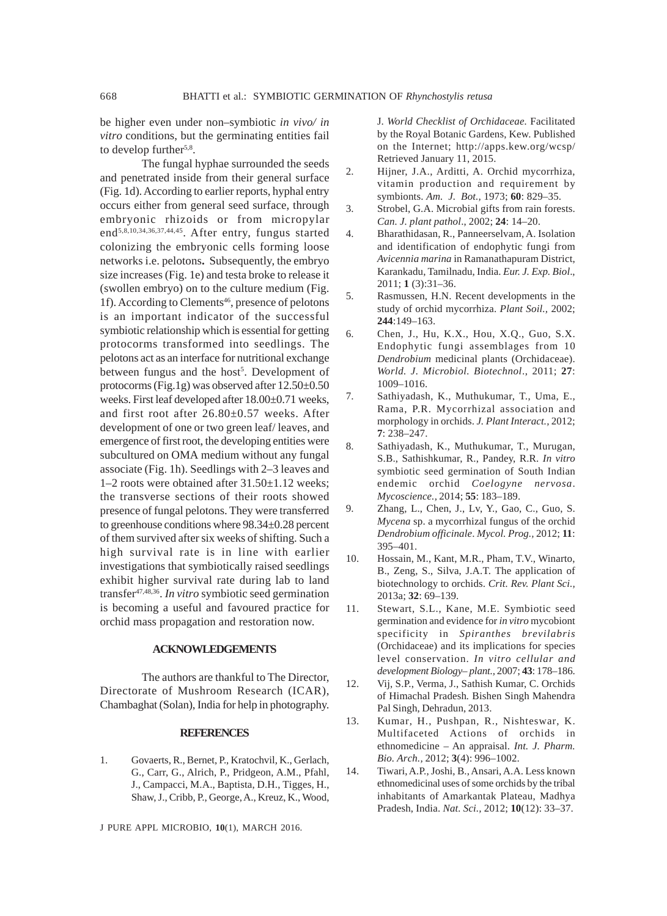be higher even under non–symbiotic *in vivo/ in vitro* conditions, but the germinating entities fail to develop further<sup>5,8</sup>.

The fungal hyphae surrounded the seeds and penetrated inside from their general surface (Fig. 1d). According to earlier reports, hyphal entry occurs either from general seed surface, through embryonic rhizoids or from micropylar end<sup>5,8,10,34,36,37,44,45</sup>. After entry, fungus started colonizing the embryonic cells forming loose networks i.e. pelotons**.** Subsequently, the embryo size increases (Fig. 1e) and testa broke to release it (swollen embryo) on to the culture medium (Fig. 1f). According to Clements<sup>46</sup>, presence of pelotons is an important indicator of the successful symbiotic relationship which is essential for getting protocorms transformed into seedlings. The pelotons act as an interface for nutritional exchange between fungus and the host<sup>5</sup>. Development of protocorms (Fig.1g) was observed after 12.50±0.50 weeks. First leaf developed after 18.00±0.71 weeks, and first root after 26.80±0.57 weeks. After development of one or two green leaf/ leaves, and emergence of first root, the developing entities were subcultured on OMA medium without any fungal associate (Fig. 1h). Seedlings with 2–3 leaves and  $1-2$  roots were obtained after  $31.50\pm1.12$  weeks; the transverse sections of their roots showed presence of fungal pelotons. They were transferred to greenhouse conditions where 98.34±0.28 percent of them survived after six weeks of shifting. Such a high survival rate is in line with earlier investigations that symbiotically raised seedlings exhibit higher survival rate during lab to land transfer47,48,36. *In vitro* symbiotic seed germination is becoming a useful and favoured practice for orchid mass propagation and restoration now.

## **ACKNOWLEDGEMENTS**

The authors are thankful to The Director, Directorate of Mushroom Research (ICAR), Chambaghat (Solan), India for help in photography.

#### **REFERENCES**

1. Govaerts, R., Bernet, P., Kratochvil, K., Gerlach, G., Carr, G., Alrich, P., Pridgeon, A.M., Pfahl, J., Campacci, M.A., Baptista, D.H., Tigges, H., Shaw, J., Cribb, P., George, A., Kreuz, K., Wood,

J PURE APPL MICROBIO*,* **10**(1), MARCH 2016.

J. *World Checklist of Orchidaceae.* Facilitated by the Royal Botanic Gardens, Kew. Published on the Internet; http://apps.kew.org/wcsp/ Retrieved January 11, 2015.

- 2. Hijner, J.A., Arditti, A. Orchid mycorrhiza, vitamin production and requirement by symbionts. *Am. J. Bot.,* 1973; **60**: 829–35.
- 3. Strobel, G.A. Microbial gifts from rain forests. *Can. J. plant pathol*., 2002; **24**: 14–20.
- 4. Bharathidasan, R., Panneerselvam, A. Isolation and identification of endophytic fungi from *Avicennia marina* in Ramanathapuram District, Karankadu, Tamilnadu, India. *Eur. J. Exp. Biol*., 2011; **1** (3):31–36.
- 5. Rasmussen, H.N. Recent developments in the study of orchid mycorrhiza. *Plant Soil.,* 2002; **244**:149–163.
- 6. Chen, J., Hu, K.X., Hou, X.Q., Guo, S.X. Endophytic fungi assemblages from 10 *Dendrobium* medicinal plants (Orchidaceae). *World. J. Microbiol. Biotechnol*., 2011; **27**: 1009–1016.
- 7. Sathiyadash, K., Muthukumar, T., Uma, E., Rama, P.R. Mycorrhizal association and morphology in orchids. *J. Plant Interact.,* 2012; **7**: 238–247.
- 8. Sathiyadash, K., Muthukumar, T., Murugan, S.B., Sathishkumar, R., Pandey, R.R. *In vitro* symbiotic seed germination of South Indian endemic orchid *Coelogyne nervosa*. *Mycoscience.,* 2014; **55**: 183–189.
- 9. Zhang, L., Chen, J., Lv, Y., Gao, C., Guo, S. *Mycena* sp. a mycorrhizal fungus of the orchid *Dendrobium officinale*. *Mycol. Prog.,* 2012; **11**: 395–401.
- 10. Hossain, M., Kant, M.R., Pham, T.V., Winarto, B., Zeng, S., Silva, J.A.T. The application of biotechnology to orchids. *Crit. Rev. Plant Sci.,* 2013a; **32**: 69–139.
- 11. Stewart, S.L., Kane, M.E. Symbiotic seed germination and evidence for *in vitro* mycobiont specificity in *Spiranthes brevilabris* (Orchidaceae) and its implications for species level conservation. *In vitro cellular and development Biology– plant.,* 2007; **43**: 178–186.
- 12. Vij, S.P., Verma, J., Sathish Kumar, C. Orchids of Himachal Pradesh*.* Bishen Singh Mahendra Pal Singh, Dehradun, 2013.
- 13. Kumar, H., Pushpan, R., Nishteswar, K. Multifaceted Actions of orchids in ethnomedicine – An appraisal. *Int. J. Pharm. Bio. Arch.,* 2012; **3**(4): 996–1002.
- 14. Tiwari, A.P., Joshi, B., Ansari, A.A. Less known ethnomedicinal uses of some orchids by the tribal inhabitants of Amarkantak Plateau, Madhya Pradesh, India. *Nat. Sci.,* 2012; **10**(12): 33–37.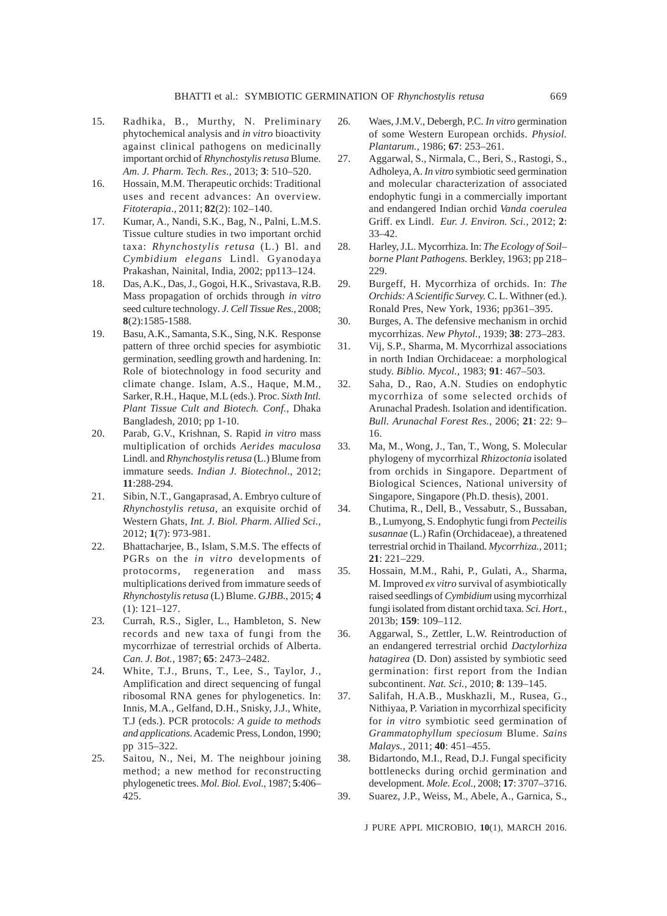- 15. Radhika, B., Murthy, N. Preliminary phytochemical analysis and *in vitro* bioactivity against clinical pathogens on medicinally important orchid of *Rhynchostylis retusa* Blume. *Am. J. Pharm. Tech. Res*., 2013; **3**: 510–520.
- 16. Hossain, M.M. Therapeutic orchids: Traditional uses and recent advances: An overview. *Fitoterapia*., 2011; **82**(2): 102–140.
- 17. Kumar, A., Nandi, S.K., Bag, N., Palni, L.M.S. Tissue culture studies in two important orchid taxa: *Rhynchostylis retusa* (L.) Bl. and *Cymbidium elegans* Lindl. Gyanodaya Prakashan, Nainital, India, 2002; pp113–124.
- 18. Das, A.K., Das, J., Gogoi, H.K., Srivastava, R.B. Mass propagation of orchids through *in vitro* seed culture technology*. J. Cell Tissue Res.,* 2008; **8**(2):1585-1588.
- 19. Basu, A.K., Samanta, S.K., Sing, N.K. Response pattern of three orchid species for asymbiotic germination, seedling growth and hardening. In: Role of biotechnology in food security and climate change. Islam, A.S., Haque, M.M., Sarker, R.H., Haque, M.L (eds.). Proc. *Sixth Intl. Plant Tissue Cult and Biotech. Conf.,* Dhaka Bangladesh, 2010; pp 1-10.
- 20. Parab, G.V., Krishnan, S. Rapid *in vitro* mass multiplication of orchids *Aerides maculosa* Lindl. and *Rhynchostylis retusa* (L.) Blume from immature seeds. *Indian J. Biotechnol*., 2012; **11**:288-294.
- 21. Sibin, N.T., Gangaprasad, A. Embryo culture of *Rhynchostylis retusa*, an exquisite orchid of Western Ghats, *Int. J. Biol. Pharm. Allied Sci.,* 2012; **1**(7): 973-981.
- 22. Bhattacharjee, B., Islam, S.M.S. The effects of PGRs on the *in vitro* developments of protocorms, regeneration and mass multiplications derived from immature seeds of *Rhynchostylis retusa* (L) Blume. *GJBB*., 2015; **4** (1): 121–127.
- 23. Currah, R.S., Sigler, L., Hambleton, S. New records and new taxa of fungi from the mycorrhizae of terrestrial orchids of Alberta. *Can. J. Bot.,* 1987; **65**: 2473–2482.
- 24. White, T.J., Bruns, T., Lee, S., Taylor, J., Amplification and direct sequencing of fungal ribosomal RNA genes for phylogenetics. In: Innis, M.A., Gelfand, D.H., Snisky, J.J., White, T.J (eds.). PCR protocols*: A guide to methods and applications*. Academic Press, London, 1990; pp 315–322.
- 25. Saitou, N., Nei, M. The neighbour joining method; a new method for reconstructing phylogenetic trees. *Mol. Biol. Evol.,* 1987; **5**:406– 425.
- 26. Waes, J.M.V., Debergh, P.C. *In vitro* germination of some Western European orchids. *Physiol. Plantarum.,* 1986; **67**: 253–261.
- 27. Aggarwal, S., Nirmala, C., Beri, S., Rastogi, S., Adholeya, A. *In vitro* symbiotic seed germination and molecular characterization of associated endophytic fungi in a commercially important and endangered Indian orchid *Vanda coerulea* Griff. ex Lindl. *Eur. J. Environ. Sci.,* 2012; **2**: 33–42.
- 28. Harley, J.L. Mycorrhiza. In: *The Ecology of Soil– borne Plant Pathogens.* Berkley, 1963; pp 218– 229.
- 29. Burgeff, H. Mycorrhiza of orchids. In: *The Orchids: A Scientific Survey.* C. L. Withner (ed.). Ronald Pres, New York, 1936; pp361–395.
- 30. Burges, A. The defensive mechanism in orchid mycorrhizas. *New Phytol.,* 1939; **38**: 273–283.
- 31. Vij, S.P., Sharma, M. Mycorrhizal associations in north Indian Orchidaceae: a morphological study. *Biblio. Mycol.,* 1983; **91**: 467–503.
- 32. Saha, D., Rao, A.N. Studies on endophytic mycorrhiza of some selected orchids of Arunachal Pradesh. Isolation and identification. *Bull. Arunachal Forest Res.,* 2006; **21**: 22: 9– 16.
- 33. Ma, M., Wong, J., Tan, T., Wong, S. Molecular phylogeny of mycorrhizal *Rhizoctonia* isolated from orchids in Singapore. Department of Biological Sciences, National university of Singapore, Singapore (Ph.D. thesis), 2001.
- 34. Chutima, R., Dell, B., Vessabutr, S., Bussaban, B., Lumyong, S. Endophytic fungi from *Pecteilis susannae* (L.) Rafin (Orchidaceae), a threatened terrestrial orchid in Thailand. *Mycorrhiza.,* 2011; **21**: 221–229.
- 35. Hossain, M.M., Rahi, P., Gulati, A., Sharma, M. Improved *ex vitro* survival of asymbiotically raised seedlings of *Cymbidium* using mycorrhizal fungi isolated from distant orchid taxa. *Sci. Hort.,* 2013b; **159**: 109–112.
- 36. Aggarwal, S., Zettler, L.W. Reintroduction of an endangered terrestrial orchid *Dactylorhiza hatagirea* (D. Don) assisted by symbiotic seed germination: first report from the Indian subcontinent. *Nat. Sci.,* 2010; **8**: 139–145.
- 37. Salifah, H.A.B., Muskhazli, M., Rusea, G., Nithiyaa, P. Variation in mycorrhizal specificity for *in vitro* symbiotic seed germination of *Grammatophyllum speciosum* Blume. *Sains Malays.,* 2011; **40**: 451–455.
- 38. Bidartondo, M.I., Read, D.J. Fungal specificity bottlenecks during orchid germination and development. *Mole. Ecol.,* 2008; **17**: 3707–3716.
- 39. Suarez, J.P., Weiss, M., Abele, A., Garnica, S.,

J PURE APPL MICROBIO*,* **10**(1), MARCH 2016.